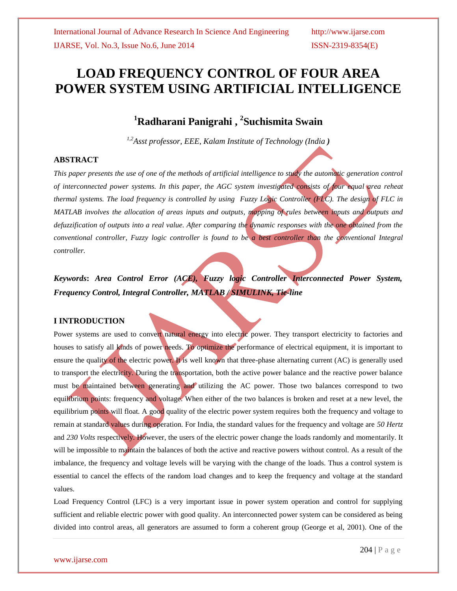# **LOAD FREQUENCY CONTROL OF FOUR AREA POWER SYSTEM USING ARTIFICIAL INTELLIGENCE**

# **<sup>1</sup>Radharani Panigrahi , 2 Suchismita Swain**

*1,2Asst professor, EEE, Kalam Institute of Technology (India )*

#### **ABSTRACT**

*This paper presents the use of one of the methods of artificial intelligence to study the automatic generation control of interconnected power systems. In this paper, the AGC system investigated consists of four equal area reheat thermal systems. The load frequency is controlled by using Fuzzy Logic Controller (FLC). The design of FLC in MATLAB involves the allocation of areas inputs and outputs, mapping of rules between inputs and outputs and defuzzification of outputs into a real value. After comparing the dynamic responses with the one obtained from the conventional controller, Fuzzy logic controller is found to be a best controller than the conventional Integral controller.*

*Keywords***:** *Area Control Error (ACE), Fuzzy logic Controller Interconnected Power System, Frequency Control, Integral Controller, MATLAB / SIMULINK, Tie-line*

#### **I INTRODUCTION**

Power systems are used to convert natural energy into electric power. They transport electricity to factories and houses to satisfy all kinds of power needs. To optimize the performance of electrical equipment, it is important to ensure the quality of the electric power. It is well known that three-phase alternating current (AC) is generally used to transport the electricity. During the transportation, both the active power balance and the reactive power balance must be maintained between generating and utilizing the AC power. Those two balances correspond to two equilibrium points: frequency and voltage. When either of the two balances is broken and reset at a new level, the equilibrium points will float. A good quality of the electric power system requires both the frequency and voltage to remain at standard values during operation. For India, the standard values for the frequency and voltage are *50 Hertz*  and *230 Volts* respectively. However, the users of the electric power change the loads randomly and momentarily. It will be impossible to maintain the balances of both the active and reactive powers without control. As a result of the imbalance, the frequency and voltage levels will be varying with the change of the loads. Thus a control system is essential to cancel the effects of the random load changes and to keep the frequency and voltage at the standard values.

Load Frequency Control (LFC) is a very important issue in power system operation and control for supplying sufficient and reliable electric power with good quality. An interconnected power system can be considered as being divided into control areas, all generators are assumed to form a coherent group (George et al, 2001). One of the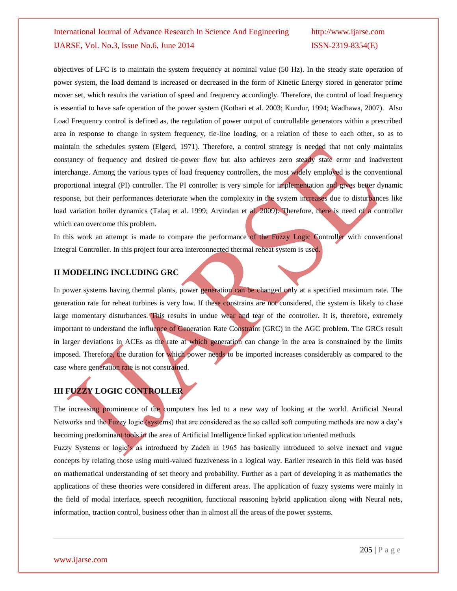objectives of LFC is to maintain the system frequency at nominal value (50 Hz). In the steady state operation of power system, the load demand is increased or decreased in the form of Kinetic Energy stored in generator prime mover set, which results the variation of speed and frequency accordingly. Therefore, the control of load frequency is essential to have safe operation of the power system (Kothari et al. 2003; Kundur, 1994; Wadhawa, 2007). Also Load Frequency control is defined as, the regulation of power output of controllable generators within a prescribed area in response to change in system frequency, tie-line loading, or a relation of these to each other, so as to maintain the schedules system (Elgerd, 1971). Therefore, a control strategy is needed that not only maintains constancy of frequency and desired tie-power flow but also achieves zero steady state error and inadvertent interchange. Among the various types of load frequency controllers, the most widely employed is the conventional proportional integral (PI) controller. The PI controller is very simple for implementation and gives better dynamic response, but their performances deteriorate when the complexity in the system increases due to disturbances like load variation boiler dynamics (Talaq et al. 1999; Arvindan et al. 2009). Therefore, there is need of a controller which can overcome this problem.

In this work an attempt is made to compare the performance of the Fuzzy Logic Controller with conventional Integral Controller. In this project four area interconnected thermal reheat system is used.

#### **II MODELING INCLUDING GRC**

In power systems having thermal plants, power generation can be changed only at a specified maximum rate. The generation rate for reheat turbines is very low. If these constrains are not considered, the system is likely to chase large momentary disturbances. This results in undue wear and tear of the controller. It is, therefore, extremely important to understand the influence of Generation Rate Constraint (GRC) in the AGC problem. The GRCs result in larger deviations in ACEs as the rate at which generation can change in the area is constrained by the limits imposed. Therefore, the duration for which power needs to be imported increases considerably as compared to the case where generation rate is not constrained.

# **III FUZZY LOGIC CONTROLLER**

The increasing prominence of the computers has led to a new way of looking at the world. Artificial Neural Networks and the Fuzzy logic (systems) that are considered as the so called soft computing methods are now a day's becoming predominant tools in the area of Artificial Intelligence linked application oriented methods

Fuzzy Systems or logic's as introduced by Zadeh in 1965 has basically introduced to solve inexact and vague concepts by relating those using multi-valued fuzziveness in a logical way. Earlier research in this field was based on mathematical understanding of set theory and probability. Further as a part of developing it as mathematics the applications of these theories were considered in different areas. The application of fuzzy systems were mainly in the field of modal interface, speech recognition, functional reasoning hybrid application along with Neural nets, information, traction control, business other than in almost all the areas of the power systems.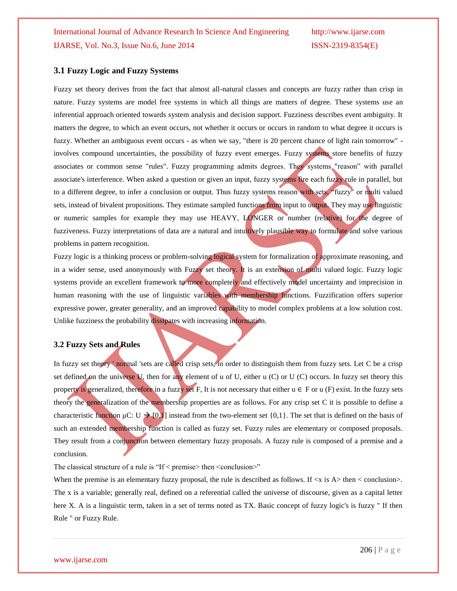#### **3.1 Fuzzy Logic and Fuzzy Systems**

Fuzzy set theory derives from the fact that almost all-natural classes and concepts are fuzzy rather than crisp in nature. Fuzzy systems are model free systems in which all things are matters of degree. These systems use an inferential approach oriented towards system analysis and decision support. Fuzziness describes event ambiguity. It matters the degree, to which an event occurs, not whether it occurs or occurs in random to what degree it occurs is fuzzy. Whether an ambiguous event occurs - as when we say, "there is 20 percent chance of light rain tomorrow" involves compound uncertainties, the possibility of fuzzy event emerges. Fuzzy systems store benefits of fuzzy associates or common sense "rules". Fuzzy programming admits degrees. They systems "reason" with parallel associate's interference. When asked a question or given an input, fuzzy systems fire each fuzzy rule in parallel, but to a different degree, to infer a conclusion or output. Thus fuzzy systems reason with sets, "fuzzy" or multi valued sets, instead of bivalent propositions. They estimate sampled functions from input to output. They may use linguistic or numeric samples for example they may use HEAVY, LONGER or number (relative) for the degree of fuzziveness. Fuzzy interpretations of data are a natural and intuitively plausible way to formulate and solve various problems in pattern recognition.

Fuzzy logic is a thinking process or problem-solving logical system for formalization of approximate reasoning, and in a wider sense, used anonymously with Fuzzy set theory. It is an extension of multi valued logic. Fuzzy logic systems provide an excellent framework to more completely and effectively model uncertainty and imprecision in human reasoning with the use of linguistic variables with membership functions. Fuzzification offers superior expressive power, greater generality, and an improved capability to model complex problems at a low solution cost. Unlike fuzziness the probability dissipates with increasing information.

#### **3.2 Fuzzy Sets and Rules**

In fuzzy set theory ' normal 'sets are called crisp sets, in order to distinguish them from fuzzy sets. Let C be a crisp set defined on the universe  $U$ , then for any element of u of U, either u (C) or U (C) occurs. In fuzzy set theory this property is generalized, therefore in a fuzzy set F, It is not necessary that either  $u \in F$  or  $u$  (F) exist. In the fuzzy sets theory the generalization of the membership properties are as follows. For any crisp set C it is possible to define a characteristic function  $\mu$ C: U  $\rightarrow$  [0,1] instead from the two-element set {0,1}. The set that is defined on the basis of such an extended membership function is called as fuzzy set. Fuzzy rules are elementary or composed proposals. They result from a conjunction between elementary fuzzy proposals. A fuzzy rule is composed of a premise and a conclusion.

The classical structure of a rule is "If < premise> then <conclusion>"

When the premise is an elementary fuzzy proposal, the rule is described as follows. If  $\langle x \rangle$  is A $>$  then  $\langle$  conclusion $>$ . The x is a variable; generally real, defined on a referential called the universe of discourse, given as a capital letter here X. A is a linguistic term, taken in a set of terms noted as TX. Basic concept of fuzzy logic's is fuzzy " If then Rule " or Fuzzy Rule.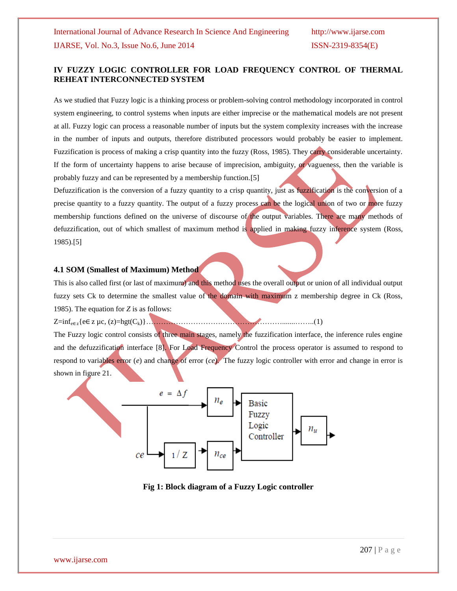## **IV FUZZY LOGIC CONTROLLER FOR LOAD FREQUENCY CONTROL OF THERMAL REHEAT INTERCONNECTED SYSTEM**

As we studied that Fuzzy logic is a thinking process or problem-solving control methodology incorporated in control system engineering, to control systems when inputs are either imprecise or the mathematical models are not present at all. Fuzzy logic can process a reasonable number of inputs but the system complexity increases with the increase in the number of inputs and outputs, therefore distributed processors would probably be easier to implement. Fuzzification is process of making a crisp quantity into the fuzzy (Ross, 1985). They carry considerable uncertainty. If the form of uncertainty happens to arise because of imprecision, ambiguity, or vagueness, then the variable is probably fuzzy and can be represented by a membership function.[5]

Defuzzification is the conversion of a fuzzy quantity to a crisp quantity, just as fuzzification is the conversion of a precise quantity to a fuzzy quantity. The output of a fuzzy process can be the logical union of two or more fuzzy membership functions defined on the universe of discourse of the output variables. There are many methods of defuzzification, out of which smallest of maximum method is applied in making fuzzy inference system (Ross, 1985).[5]

#### **4.1 SOM (Smallest of Maximum) Method**

This is also called first (or last of maximum) and this method uses the overall output or union of all individual output fuzzy sets Ck to determine the smallest value of the domain with maximum z membership degree in Ck (Ross, 1985). The equation for *Z* is as follows:

Z=infe∈z{e∈ z µc, (z)=hgt(Ck)}………………………….…………………….......……..(1)

The Fuzzy logic control consists of three main stages, namely the fuzzification interface, the inference rules engine and the defuzzification interface [8]. For Load Frequency Control the process operator is assumed to respond to respond to variables error (*e*) and change of error (*ce*). The fuzzy logic controller with error and change in error is shown in figure 21.



**Fig 1: Block diagram of a Fuzzy Logic controller**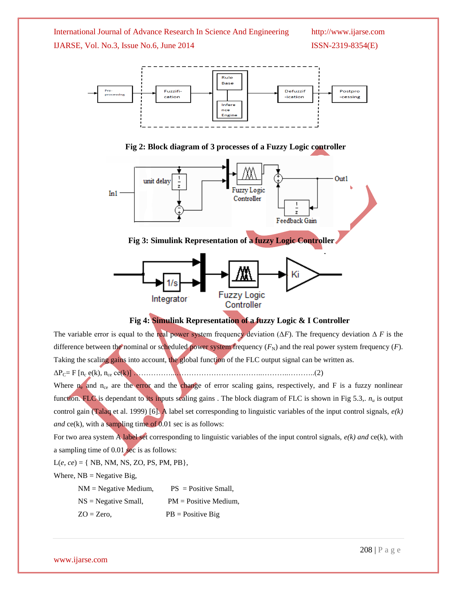





### **Fig 4: Simulink Representation of a fuzzy Logic & I Controller**

Controller

The variable error is equal to the real power system frequency deviation ( $\Delta F$ ). The frequency deviation  $\Delta F$  is the difference between the nominal or scheduled power system frequency  $(F_N)$  and the real power system frequency  $(F)$ . Taking the scaling gains into account, the global function of the FLC output signal can be written as. ΔPC= F [n<sup>c</sup> e(k), nce ce(k)] ……………...……………………………..………..………..(2)

Where  $n_e$  and  $n_{ce}$  are the error and the change of error scaling gains, respectively, and F is a fuzzy nonlinear function. FLC is dependant to its inputs scaling gains . The block diagram of FLC is shown in Fig 5.3,. *n<sup>u</sup>* is output control gain (Talaq et al. 1999) [6]. A label set corresponding to linguistic variables of the input control signals, *e(k) and*  $ce(k)$ , with a sampling time of 0.01 sec is as follows:

For two area system A label set corresponding to linguistic variables of the input control signals, *e(k) and* ce(k), with a sampling time of 0.01 sec is as follows:

L(*e, ce*) = { NB, NM, NS, ZO, PS, PM, PB},

Where,  $NB = Negative Big$ ,

| $NM = Negative Medium,$ | $PS = Positive Small$ .  |
|-------------------------|--------------------------|
| $NS = Negative Small,$  | $PM = Positive Medium$ , |
| $ZO = Zero$ ,           | $PB = Positive Big$      |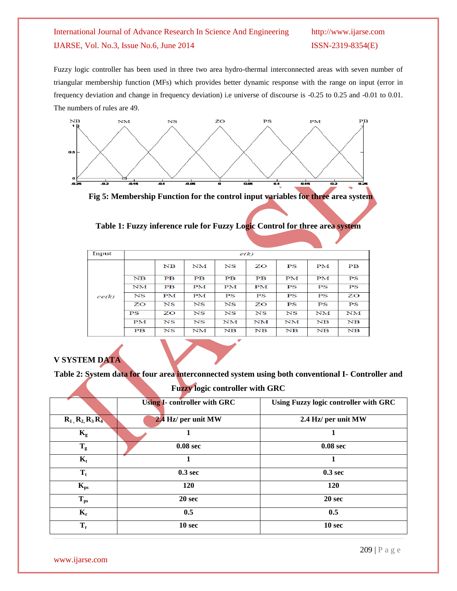Fuzzy logic controller has been used in three two area hydro-thermal interconnected areas with seven number of triangular membership function (MFs) which provides better dynamic response with the range on input (error in frequency deviation and change in frequency deviation) i.e universe of discourse is -0.25 to 0.25 and -0.01 to 0.01. The numbers of rules are 49.



 **Fig 5: Membership Function for the control input variables for three area system**

| Input | e(k)                     |                          |                 |                          |                          |             |                |                          |
|-------|--------------------------|--------------------------|-----------------|--------------------------|--------------------------|-------------|----------------|--------------------------|
|       |                          | N <sub>B</sub>           | $_{\rm NM}$     | $_{\rm NS}$              | ZO                       | PS          | PM             | $\overline{\mathbf{PB}}$ |
|       | N <sub>B</sub>           | $\overline{PB}$          | $\overline{PB}$ | $\overline{\mathbf{PB}}$ | $\overline{\mathbf{PB}}$ | <b>PM</b>   | PM             | PS                       |
|       | NM                       | $\overline{\mathbf{PB}}$ | PM              | PM                       | PM                       | PS          | PS             | PS                       |
| ce(k) | $_{\rm NS}$              | <b>PM</b>                | PM              | PS                       | PS                       | PS          | PS             | ZO                       |
|       | ZΟ                       | $_{\rm NS}$              | $_{\rm NS}$     | $_{\rm NS}$              | ZO                       | PS          | PS             | PS                       |
|       | PS                       | ZO                       | $_{\rm NS}$     | NS                       | $_{\rm NS}$              | NS          | NM             | NM                       |
|       | PM                       | $_{\rm NS}$              | $_{\rm NS}$     | NM                       | NM                       | $_{\rm NM}$ | N <sub>B</sub> | NB                       |
|       | $\overline{\mathbf{PB}}$ | $_{\rm NS}$              | NM              | $_{\rm NB}$              | $\mathbf{N} \mathbf{B}$  | NB          | NB             | $\mathbf{N} \mathbf{B}$  |

**Table 1: Fuzzy inference rule for Fuzzy Logic Control for three area system**

## **V SYSTEM DATA**

**Table 2: System data for four area interconnected system using both conventional I- Controller and** 

**Fuzzy logic controller with GRC**

|                      | <b>Using I- controller with GRC</b> | Using Fuzzy logic controller with GRC |
|----------------------|-------------------------------------|---------------------------------------|
| $R_1, R_2, R_3, R_4$ | 2.4 Hz/ per unit MW                 | 2.4 Hz/ per unit MW                   |
| $K_{\rm g}$          |                                     |                                       |
| $T_g$                | 0.08 <sub>sec</sub>                 | 0.08 <sub>sec</sub>                   |
| $\mathbf{K}_{t}$     |                                     |                                       |
| $T_t$                | 0.3 <sub>sec</sub>                  | 0.3 <sub>sec</sub>                    |
| $K_{\rm ps}$         | 120                                 | 120                                   |
| $T_{ps}$             | 20 <sub>sec</sub>                   | 20 sec                                |
| $K_r$                | 0.5                                 | 0.5                                   |
| $T_r$                | 10 sec                              | 10 sec                                |

www.ijarse.com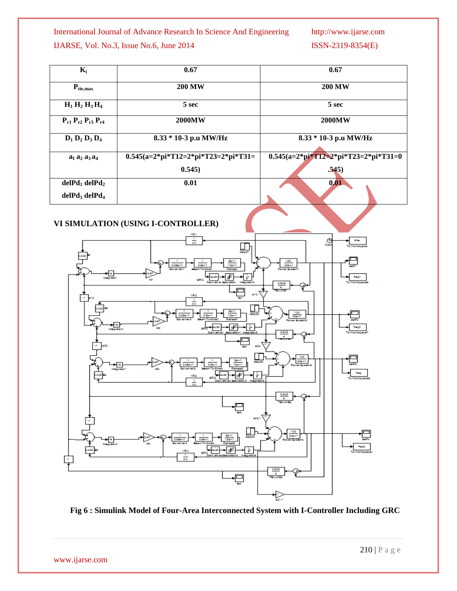| $K_i$                               | 0.67                                  | 0.67                                   |  |  |
|-------------------------------------|---------------------------------------|----------------------------------------|--|--|
| $P_{\text{tie,max}}$                | <b>200 MW</b>                         | <b>200 MW</b>                          |  |  |
| $H_1 H_2 H_3 H_4$                   | 5 sec                                 | 5 sec                                  |  |  |
| $P_{r1} P_{r2} P_{r3} P_{r4}$       | <b>2000MW</b>                         | <b>2000MW</b>                          |  |  |
| $D_1 D_2 D_3 D_4$                   | 8.33 * 10-3 p.u MW/Hz                 | 8.33 * 10-3 p.u MW/Hz                  |  |  |
| $a_1 a_2 a_3 a_4$                   | $0.545(a=2*pi*T12=2*pi*T23=2*pi*T31=$ | $0.545(a=2*pi*T12=2*pi*T23=2*pi*T31=0$ |  |  |
|                                     | 0.545)                                | .545)                                  |  |  |
| delP <sub>1</sub> delP <sub>2</sub> | 0.01                                  | 0.01                                   |  |  |
| $delPd$ , $delPd$                   |                                       |                                        |  |  |

## **VI SIMULATION (USING I-CONTROLLER)**



 **Fig 6 : Simulink Model of Four-Area Interconnected System with I-Controller Including GRC**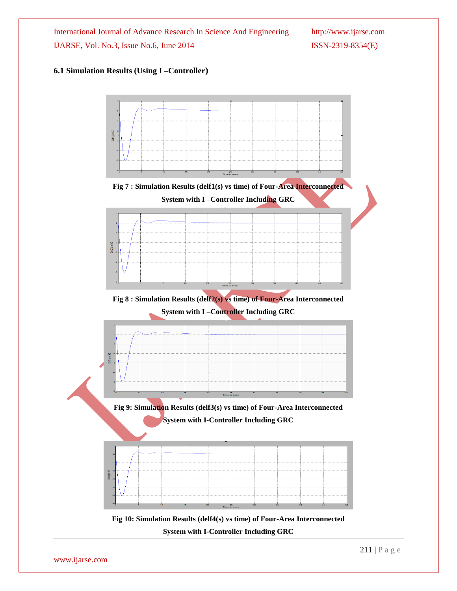### **6.1 Simulation Results (Using I –Controller)**

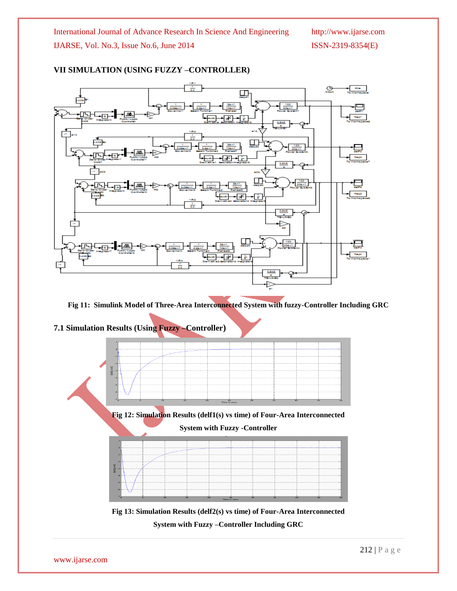

## **VII SIMULATION (USING FUZZY –CONTROLLER)**

**Fig 11: Simulink Model of Three-Area Interconnected System with fuzzy-Controller Including GRC**



**System with Fuzzy –Controller Including GRC**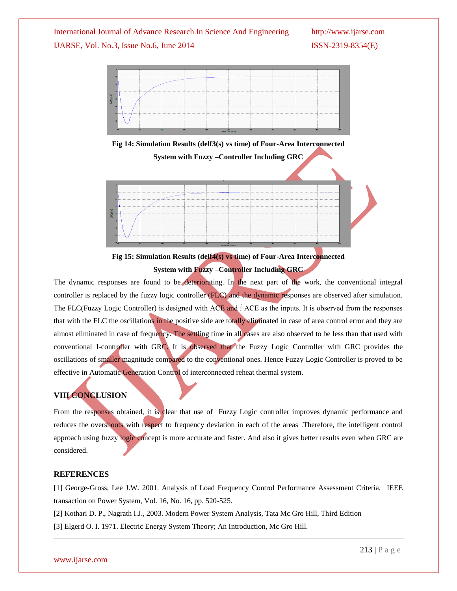

**Fig 14: Simulation Results (delf3(s) vs time) of Four-Area Interconnected System with Fuzzy –Controller Including GRC**





The dynamic responses are found to be deteriorating. In the next part of the work, the conventional integral controller is replaced by the fuzzy logic controller (FLC) and the dynamic responses are observed after simulation. The FLC(Fuzzy Logic Controller) is designed with ACE and ∫ ACE as the inputs. It is observed from the responses that with the FLC the oscillations in the positive side are totally eliminated in case of area control error and they are almost eliminated in case of frequency. The settling time in all cases are also observed to be less than that used with conventional I-controller with GRC. It is observed that the Fuzzy Logic Controller with GRC provides the oscillations of smaller magnitude compared to the conventional ones. Hence Fuzzy Logic Controller is proved to be effective in Automatic Generation Control of interconnected reheat thermal system.

# **VIII CONCLUSION**

From the responses obtained, it is clear that use of Fuzzy Logic controller improves dynamic performance and reduces the overshoots with respect to frequency deviation in each of the areas .Therefore, the intelligent control approach using fuzzy logic concept is more accurate and faster. And also it gives better results even when GRC are considered.

#### **REFERENCES**

[1] George-Gross, Lee J.W. 2001. Analysis of Load Frequency Control Performance Assessment Criteria, IEEE transaction on Power System, Vol. 16, No. 16, pp. 520-525.

[2] Kothari D. P., Nagrath I.J., 2003. Modern Power System Analysis, Tata Mc Gro Hill, Third Edition

[3] Elgerd O. I. 1971. Electric Energy System Theory; An Introduction, Mc Gro Hill.